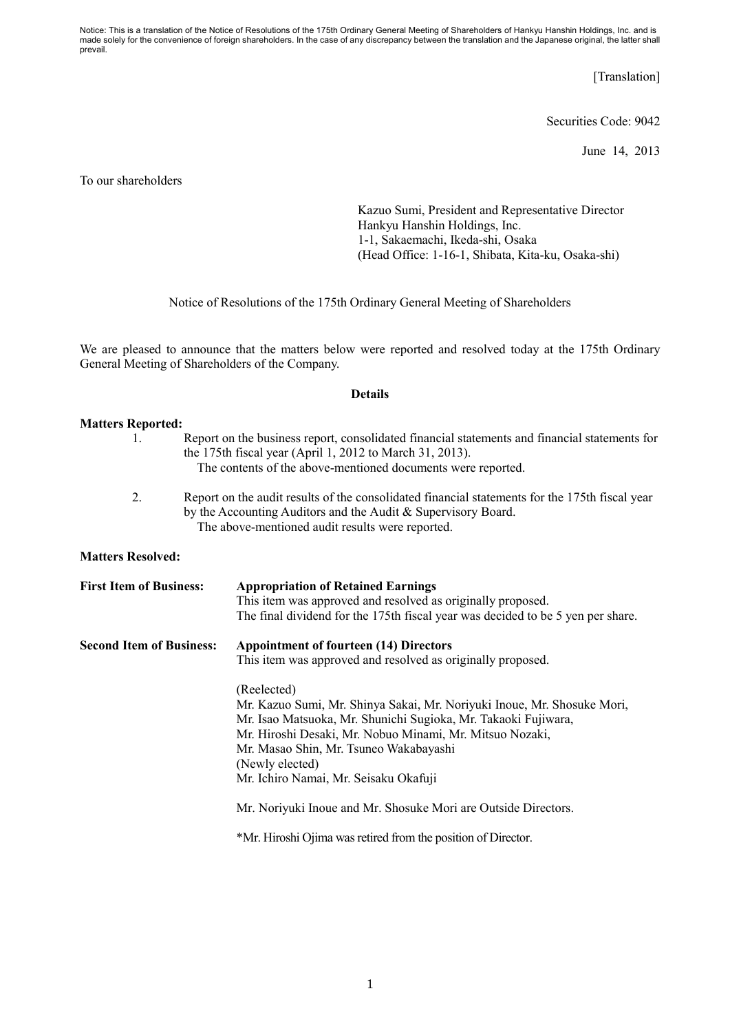Notice: This is a translation of the Notice of Resolutions of the 175th Ordinary General Meeting of Shareholders of Hankyu Hanshin Holdings, Inc. and is made solely for the convenience of foreign shareholders. In the case of any discrepancy between the translation and the Japanese original, the latter shall prevail.

[Translation]

Securities Code: 9042

June 14, 2013

To our shareholders

Kazuo Sumi, President and Representative Director Hankyu Hanshin Holdings, Inc. 1-1, Sakaemachi, Ikeda-shi, Osaka (Head Office: 1-16-1, Shibata, Kita-ku, Osaka-shi)

Notice of Resolutions of the 175th Ordinary General Meeting of Shareholders

We are pleased to announce that the matters below were reported and resolved today at the 175th Ordinary General Meeting of Shareholders of the Company.

## **Details**

## **Matters Reported:**

- 1. Report on the business report, consolidated financial statements and financial statements for the 175th fiscal year (April 1, 2012 to March 31, 2013). The contents of the above-mentioned documents were reported.
	- 2. Report on the audit results of the consolidated financial statements for the 175th fiscal year by the Accounting Auditors and the Audit & Supervisory Board. The above-mentioned audit results were reported.

## **Matters Resolved:**

| <b>First Item of Business:</b>  | <b>Appropriation of Retained Earnings</b><br>This item was approved and resolved as originally proposed.<br>The final dividend for the 175th fiscal year was decided to be 5 yen per share.                                                                                                                                |
|---------------------------------|----------------------------------------------------------------------------------------------------------------------------------------------------------------------------------------------------------------------------------------------------------------------------------------------------------------------------|
| <b>Second Item of Business:</b> | <b>Appointment of fourteen (14) Directors</b><br>This item was approved and resolved as originally proposed.                                                                                                                                                                                                               |
|                                 | (Reelected)<br>Mr. Kazuo Sumi, Mr. Shinya Sakai, Mr. Noriyuki Inoue, Mr. Shosuke Mori,<br>Mr. Isao Matsuoka, Mr. Shunichi Sugioka, Mr. Takaoki Fujiwara,<br>Mr. Hiroshi Desaki, Mr. Nobuo Minami, Mr. Mitsuo Nozaki,<br>Mr. Masao Shin, Mr. Tsuneo Wakabayashi<br>(Newly elected)<br>Mr. Ichiro Namai, Mr. Seisaku Okafuji |
|                                 | Mr. Noriyuki Inoue and Mr. Shosuke Mori are Outside Directors.                                                                                                                                                                                                                                                             |
|                                 | *Mr. Hiroshi Ojima was retired from the position of Director.                                                                                                                                                                                                                                                              |